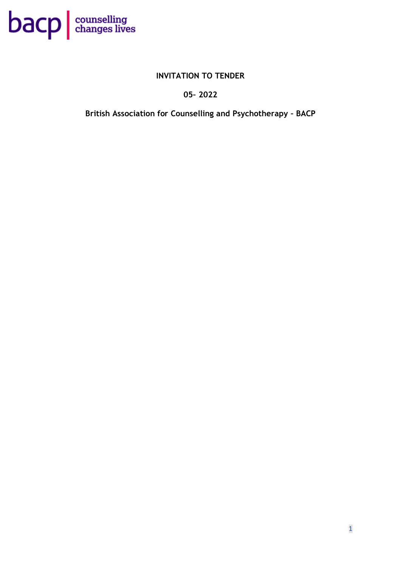

## **INVITATION TO TENDER**

## **05– 2022**

**British Association for Counselling and Psychotherapy – BACP**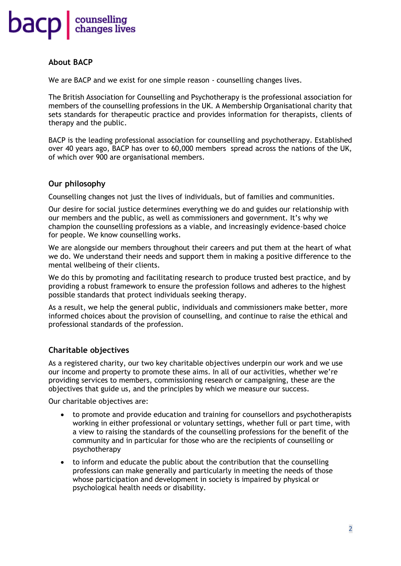

### **About BACP**

We are BACP and we exist for one simple reason - counselling changes lives.

The British Association for Counselling and Psychotherapy is the professional association for members of the counselling professions in the UK. A Membership Organisational charity that sets standards for therapeutic practice and provides information for therapists, clients of therapy and the public.

BACP is the leading professional association for counselling and psychotherapy. Established over 40 years ago, BACP has over to 60,000 members spread across the nations of the UK, of which over 900 are organisational members.

### **Our philosophy**

Counselling changes not just the lives of individuals, but of families and communities.

Our desire for social justice determines everything we do and guides our relationship with our members and the public, as well as commissioners and government. It's why we champion the counselling professions as a viable, and increasingly evidence-based choice for people. We know counselling works.

We are alongside our members throughout their careers and put them at the heart of what we do. We understand their needs and support them in making a positive difference to the mental wellbeing of their clients.

We do this by promoting and facilitating research to produce trusted best practice, and by providing a robust framework to ensure the profession follows and adheres to the highest possible standards that protect individuals seeking therapy.

As a result, we help the general public, individuals and commissioners make better, more informed choices about the provision of counselling, and continue to raise the ethical and professional standards of the profession.

## **Charitable objectives**

As a registered charity, our two key charitable objectives underpin our work and we use our income and property to promote these aims. In all of our activities, whether we're providing services to members, commissioning research or campaigning, these are the objectives that guide us, and the principles by which we measure our success.

Our charitable objectives are:

- to promote and provide education and training for counsellors and psychotherapists working in either professional or voluntary settings, whether full or part time, with a view to raising the standards of the counselling professions for the benefit of the community and in particular for those who are the recipients of counselling or psychotherapy
- to inform and educate the public about the contribution that the counselling professions can make generally and particularly in meeting the needs of those whose participation and development in society is impaired by physical or psychological health needs or disability.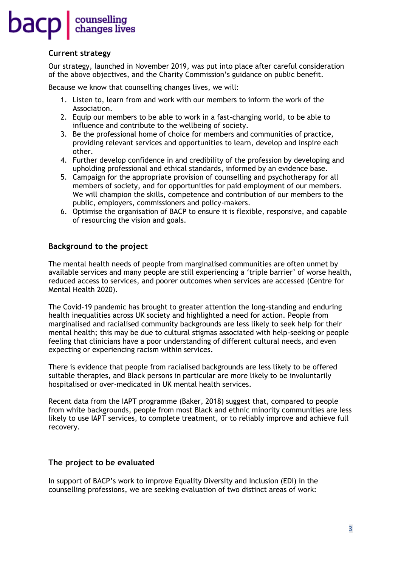## **Current strategy**

Our strategy, launched in November 2019, was put into place after careful consideration of the above objectives, and the Charity Commission's guidance on public benefit.

Because we know that counselling changes lives, we will:

- 1. Listen to, learn from and work with our members to inform the work of the Association.
- 2. Equip our members to be able to work in a fast-changing world, to be able to influence and contribute to the wellbeing of society.
- 3. Be the professional home of choice for members and communities of practice, providing relevant services and opportunities to learn, develop and inspire each other.
- 4. Further develop confidence in and credibility of the profession by developing and upholding professional and ethical standards, informed by an evidence base.
- 5. Campaign for the appropriate provision of counselling and psychotherapy for all members of society, and for opportunities for paid employment of our members. We will champion the skills, competence and contribution of our members to the public, employers, commissioners and policy-makers.
- 6. Optimise the organisation of BACP to ensure it is flexible, responsive, and capable of resourcing the vision and goals.

## **Background to the project**

The mental health needs of people from marginalised communities are often unmet by available services and many people are still experiencing a 'triple barrier' of worse health, reduced access to services, and poorer outcomes when services are accessed (Centre for Mental Health 2020).

The Covid-19 pandemic has brought to greater attention the long-standing and enduring health inequalities across UK society and highlighted a need for action. People from marginalised and racialised community backgrounds are less likely to seek help for their mental health; this may be due to cultural stigmas associated with help-seeking or people feeling that clinicians have a poor understanding of different cultural needs, and even expecting or experiencing racism within services.

There is evidence that people from racialised backgrounds are less likely to be offered suitable therapies, and Black persons in particular are more likely to be involuntarily hospitalised or over-medicated in UK mental health services.

Recent data from the IAPT programme (Baker, 2018) suggest that, compared to people from white backgrounds, people from most Black and ethnic minority communities are less likely to use IAPT services, to complete treatment, or to reliably improve and achieve full recovery.

## **The project to be evaluated**

In support of BACP's work to improve Equality Diversity and Inclusion (EDI) in the counselling professions, we are seeking evaluation of two distinct areas of work: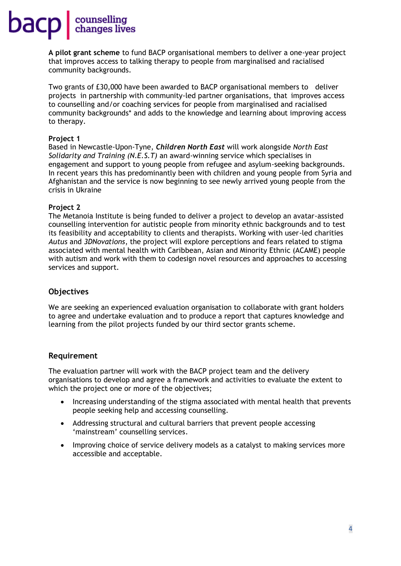**A pilot grant scheme** to fund BACP organisational members to deliver a one-year project that improves access to talking therapy to people from marginalised and racialised community backgrounds.

Two grants of £30,000 have been awarded to BACP organisational members to deliver projects in partnership with community-led partner organisations, that improves access to counselling and/or coaching services for people from marginalised and racialised community backgrounds\* and adds to the knowledge and learning about improving access to therapy.

#### **Project 1**

Based in Newcastle-Upon-Tyne, *Children North East* will work alongside *North East Solidarity and Training (N.E.S.T)* an award-winning service which specialises in engagement and support to young people from refugee and asylum-seeking backgrounds. In recent years this has predominantly been with children and young people from Syria and Afghanistan and the service is now beginning to see newly arrived young people from the crisis in Ukraine

### **Project 2**

The Metanoia Institute is being funded to deliver a project to develop an avatar-assisted counselling intervention for autistic people from minority ethnic backgrounds and to test its feasibility and acceptability to clients and therapists. Working with user-led charities *Autus* and *3DNovations*, the project will explore perceptions and fears related to stigma associated with mental health with Caribbean, Asian and Minority Ethnic (ACAME) people with autism and work with them to codesign novel resources and approaches to accessing services and support.

## **Objectives**

We are seeking an experienced evaluation organisation to collaborate with grant holders to agree and undertake evaluation and to produce a report that captures knowledge and learning from the pilot projects funded by our third sector grants scheme.

### **Requirement**

The evaluation partner will work with the BACP project team and the delivery organisations to develop and agree a framework and activities to evaluate the extent to which the project one or more of the objectives;

- Increasing understanding of the stigma associated with mental health that prevents people seeking help and accessing counselling.
- Addressing structural and cultural barriers that prevent people accessing 'mainstream' counselling services.
- Improving choice of service delivery models as a catalyst to making services more accessible and acceptable.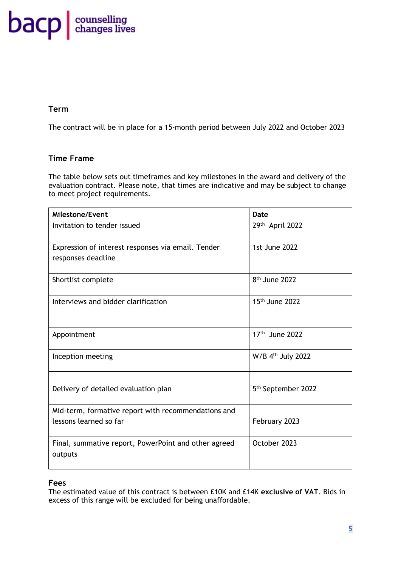# **bacp** edunges lives

## **Term**

The contract will be in place for a 15-month period between July 2022 and October 2023

## **Time Frame**

The table below sets out timeframes and key milestones in the award and delivery of the evaluation contract. Please note, that times are indicative and may be subject to change to meet project requirements.

| <b>Milestone/Event</b>                                                        | <b>Date</b>                    |
|-------------------------------------------------------------------------------|--------------------------------|
| Invitation to tender issued                                                   | 29th April 2022                |
| Expression of interest responses via email. Tender<br>responses deadline      | 1st June 2022                  |
| Shortlist complete                                                            | 8 <sup>th</sup> June 2022      |
| Interviews and bidder clarification                                           | 15 <sup>th</sup> June 2022     |
| Appointment                                                                   | 17th June 2022                 |
| Inception meeting                                                             | W/B 4th July 2022              |
| Delivery of detailed evaluation plan                                          | 5 <sup>th</sup> September 2022 |
| Mid-term, formative report with recommendations and<br>lessons learned so far | February 2023                  |
| Final, summative report, PowerPoint and other agreed<br>outputs               | October 2023                   |

## **Fees**

The estimated value of this contract is between £10K and £14K **exclusive of VAT**. Bids in excess of this range will be excluded for being unaffordable.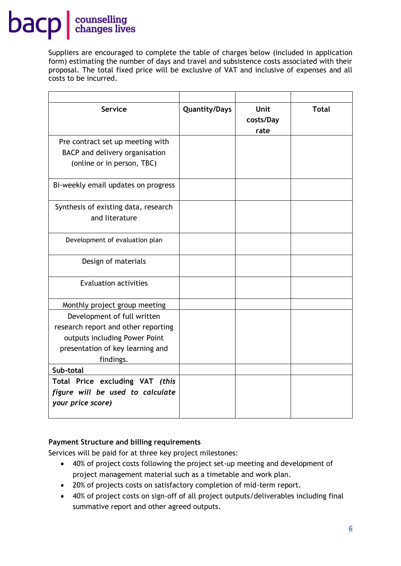Suppliers are encouraged to complete the table of charges below (included in application form) estimating the number of days and travel and subsistence costs associated with their proposal. The total fixed price will be exclusive of VAT and inclusive of expenses and all costs to be incurred.

| <b>Service</b>                                                                                                                                       | <b>Quantity/Days</b> | <b>Unit</b><br>costs/Day<br>rate | <b>Total</b> |
|------------------------------------------------------------------------------------------------------------------------------------------------------|----------------------|----------------------------------|--------------|
| Pre contract set up meeting with<br>BACP and delivery organisation<br>(online or in person, TBC)                                                     |                      |                                  |              |
| Bi-weekly email updates on progress                                                                                                                  |                      |                                  |              |
| Synthesis of existing data, research<br>and literature                                                                                               |                      |                                  |              |
| Development of evaluation plan                                                                                                                       |                      |                                  |              |
| Design of materials                                                                                                                                  |                      |                                  |              |
| <b>Evaluation activities</b>                                                                                                                         |                      |                                  |              |
| Monthly project group meeting                                                                                                                        |                      |                                  |              |
| Development of full written<br>research report and other reporting<br>outputs including Power Point<br>presentation of key learning and<br>findings. |                      |                                  |              |
| Sub-total                                                                                                                                            |                      |                                  |              |
| Total Price excluding VAT (this<br>figure will be used to calculate<br>your price score)                                                             |                      |                                  |              |

## **Payment Structure and billing requirements**

Services will be paid for at three key project milestones:

- 40% of project costs following the project set-up meeting and development of project management material such as a timetable and work plan.
- 20% of projects costs on satisfactory completion of mid-term report.
- 40% of project costs on sign-off of all project outputs/deliverables including final summative report and other agreed outputs.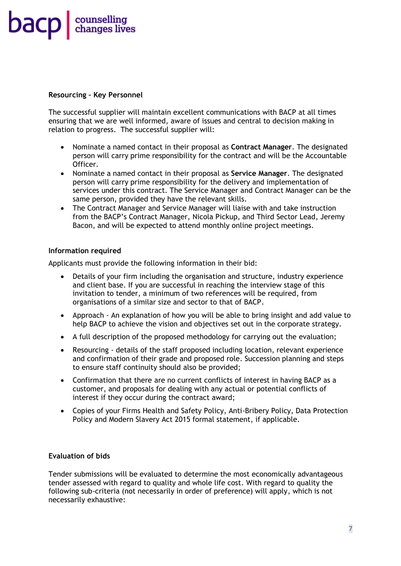

#### **Resourcing – Key Personnel**

The successful supplier will maintain excellent communications with BACP at all times ensuring that we are well informed, aware of issues and central to decision making in relation to progress. The successful supplier will:

- Nominate a named contact in their proposal as **Contract Manager**. The designated person will carry prime responsibility for the contract and will be the Accountable Officer.
- Nominate a named contact in their proposal as **Service Manager**. The designated person will carry prime responsibility for the delivery and implementation of services under this contract. The Service Manager and Contract Manager can be the same person, provided they have the relevant skills.
- The Contract Manager and Service Manager will liaise with and take instruction from the BACP's Contract Manager, Nicola Pickup, and Third Sector Lead, Jeremy Bacon, and will be expected to attend monthly online project meetings.

### **Information required**

Applicants must provide the following information in their bid:

- Details of your firm including the organisation and structure, industry experience and client base. If you are successful in reaching the interview stage of this invitation to tender, a minimum of two references will be required, from organisations of a similar size and sector to that of BACP.
- Approach An explanation of how you will be able to bring insight and add value to help BACP to achieve the vision and objectives set out in the corporate strategy.
- A full description of the proposed methodology for carrying out the evaluation;
- Resourcing details of the staff proposed including location, relevant experience and confirmation of their grade and proposed role. Succession planning and steps to ensure staff continuity should also be provided;
- Confirmation that there are no current conflicts of interest in having BACP as a customer, and proposals for dealing with any actual or potential conflicts of interest if they occur during the contract award;
- Copies of your Firms Health and Safety Policy, Anti-Bribery Policy, Data Protection Policy and Modern Slavery Act 2015 formal statement, if applicable.

### **Evaluation of bids**

Tender submissions will be evaluated to determine the most economically advantageous tender assessed with regard to quality and whole life cost. With regard to quality the following sub-criteria (not necessarily in order of preference) will apply, which is not necessarily exhaustive: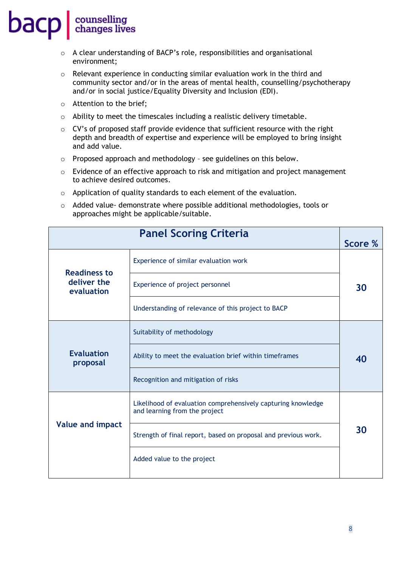- o A clear understanding of BACP's role, responsibilities and organisational environment;
- o Relevant experience in conducting similar evaluation work in the third and community sector and/or in the areas of mental health, counselling/psychotherapy and/or in social justice/Equality Diversity and Inclusion (EDI).
- o Attention to the brief;
- o Ability to meet the timescales including a realistic delivery timetable.
- o CV's of proposed staff provide evidence that sufficient resource with the right depth and breadth of expertise and experience will be employed to bring insight and add value.
- o Proposed approach and methodology see guidelines on this below.
- $\circ$  Evidence of an effective approach to risk and mitigation and project management to achieve desired outcomes.
- o Application of quality standards to each element of the evaluation.
- o Added value- demonstrate where possible additional methodologies, tools or approaches might be applicable/suitable.

|                               | <b>Panel Scoring Criteria</b>                                                                 | Score % |
|-------------------------------|-----------------------------------------------------------------------------------------------|---------|
| <b>Readiness to</b>           | Experience of similar evaluation work                                                         |         |
| deliver the<br>evaluation     | Experience of project personnel                                                               | 30      |
|                               | Understanding of relevance of this project to BACP                                            |         |
|                               | Suitability of methodology                                                                    |         |
| <b>Evaluation</b><br>proposal | Ability to meet the evaluation brief within timeframes                                        | 40      |
|                               | Recognition and mitigation of risks                                                           |         |
|                               | Likelihood of evaluation comprehensively capturing knowledge<br>and learning from the project |         |
| <b>Value and impact</b>       | Strength of final report, based on proposal and previous work.                                | 30      |
|                               | Added value to the project                                                                    |         |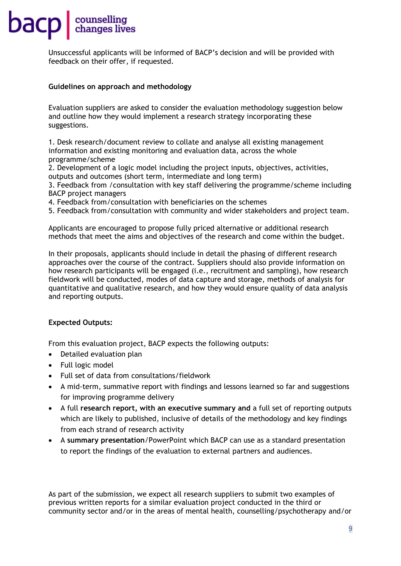## **bacp** counselling

Unsuccessful applicants will be informed of BACP's decision and will be provided with feedback on their offer, if requested.

### **Guidelines on approach and methodology**

Evaluation suppliers are asked to consider the evaluation methodology suggestion below and outline how they would implement a research strategy incorporating these suggestions.

1. Desk research/document review to collate and analyse all existing management information and existing monitoring and evaluation data, across the whole programme/scheme

2. Development of a logic model including the project inputs, objectives, activities, outputs and outcomes (short term, intermediate and long term)

3. Feedback from /consultation with key staff delivering the programme/scheme including BACP project managers

- 4. Feedback from/consultation with beneficiaries on the schemes
- 5. Feedback from/consultation with community and wider stakeholders and project team.

Applicants are encouraged to propose fully priced alternative or additional research methods that meet the aims and objectives of the research and come within the budget.

In their proposals, applicants should include in detail the phasing of different research approaches over the course of the contract. Suppliers should also provide information on how research participants will be engaged (i.e., recruitment and sampling), how research fieldwork will be conducted, modes of data capture and storage, methods of analysis for quantitative and qualitative research, and how they would ensure quality of data analysis and reporting outputs.

### **Expected Outputs:**

From this evaluation project, BACP expects the following outputs:

- Detailed evaluation plan
- Full logic model
- Full set of data from consultations/fieldwork
- A mid-term, summative report with findings and lessons learned so far and suggestions for improving programme delivery
- A full **research report, with an executive summary and** a full set of reporting outputs which are likely to published, inclusive of details of the methodology and key findings from each strand of research activity
- A **summary presentation**/PowerPoint which BACP can use as a standard presentation to report the findings of the evaluation to external partners and audiences.

As part of the submission, we expect all research suppliers to submit two examples of previous written reports for a similar evaluation project conducted in the third or community sector and/or in the areas of mental health, counselling/psychotherapy and/or